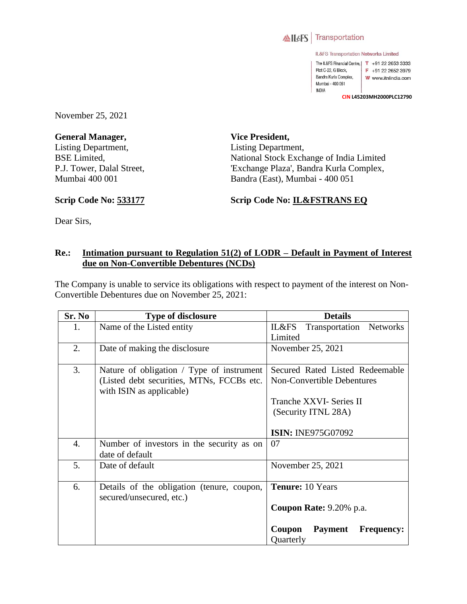

IL&FS Transportation Networks Limited

The IL&FS Financial Centre, | T +91 22 2653 3333 Plot C-22, G Block,  $F + 912226523979$ Bandra Kurla Complex, W www.itnlindia.com Mumbai - 400 051 INDIA

**CIN L45203MH2000PLC12790**

November 25, 2021

**General Manager,**  Listing Department, BSE Limited, P.J. Tower, Dalal Street, Mumbai 400 001

**Vice President,**  Listing Department, National Stock Exchange of India Limited 'Exchange Plaza', Bandra Kurla Complex, Bandra (East), Mumbai - 400 051

**Scrip Code No: 533177**

**Scrip Code No: IL&FSTRANS EQ**

Dear Sirs,

## **Re.: Intimation pursuant to Regulation 51(2) of LODR – Default in Payment of Interest due on Non-Convertible Debentures (NCDs)**

The Company is unable to service its obligations with respect to payment of the interest on Non-Convertible Debentures due on November 25, 2021:

| Sr. No | <b>Type of disclosure</b>                  | <b>Details</b>                                |
|--------|--------------------------------------------|-----------------------------------------------|
| 1.     | Name of the Listed entity                  | IL&FS<br>Transportation<br>Networks           |
|        |                                            | Limited                                       |
| 2.     | Date of making the disclosure              | November 25, 2021                             |
|        |                                            |                                               |
| 3.     | Nature of obligation / Type of instrument  | Secured Rated Listed Redeemable               |
|        | (Listed debt securities, MTNs, FCCBs etc.  | Non-Convertible Debentures                    |
|        | with ISIN as applicable)                   |                                               |
|        |                                            | Tranche XXVI- Series II                       |
|        |                                            | (Security ITNL 28A)                           |
|        |                                            |                                               |
|        |                                            | <b>ISIN: INE975G07092</b>                     |
| 4.     | Number of investors in the security as on  | 07                                            |
|        | date of default                            |                                               |
| 5.     | Date of default                            | November 25, 2021                             |
|        |                                            |                                               |
| 6.     | Details of the obligation (tenure, coupon, | <b>Tenure:</b> 10 Years                       |
|        | secured/unsecured, etc.)                   |                                               |
|        |                                            | Coupon Rate: 9.20% p.a.                       |
|        |                                            |                                               |
|        |                                            | Coupon<br><b>Payment</b><br><b>Frequency:</b> |
|        |                                            | Quarterly                                     |